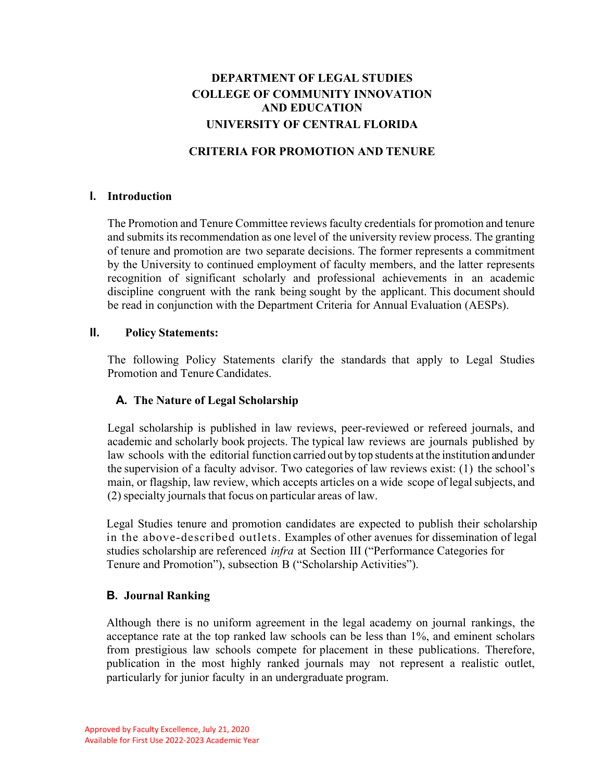# **DEPARTMENT OF LEGAL STUDIES COLLEGE OF COMMUNITY INNOVATION AND EDUCATION UNIVERSITY OF CENTRAL FLORIDA**

#### **CRITERIA FOR PROMOTION AND TENURE**

#### **I. Introduction**

The Promotion and Tenure Committee reviews faculty credentials for promotion and tenure and submits its recommendation as one level of the university review process. The granting of tenure and promotion are two separate decisions. The former represents a commitment by the University to continued employment of faculty members, and the latter represents recognition of significant scholarly and professional achievements in an academic discipline congruent with the rank being sought by the applicant. This document should be read in conjunction with the Department Criteria for Annual Evaluation (AESPs).

#### **II. Policy Statements:**

The following Policy Statements clarify the standards that apply to Legal Studies Promotion and Tenure Candidates.

## **A. The Nature of Legal Scholarship**

Legal scholarship is published in law reviews, peer-reviewed or refereed journals, and academic and scholarly book projects. The typical law reviews are journals published by law schools with the editorial function carried out by top students at the institution and under the supervision of a faculty advisor. Two categories of law reviews exist: (1) the school's main, or flagship, law review, which accepts articles on a wide scope of legal subjects, and (2) specialty journals that focus on particular areas of law.

Legal Studies tenure and promotion candidates are expected to publish their scholarship in the above-described outlets. Examples of other avenues for dissemination of legal studies scholarship are referenced *infra* at Section III ("Performance Categories for Tenure and Promotion"), subsection B ("Scholarship Activities").

## **B. Journal Ranking**

Although there is no uniform agreement in the legal academy on journal rankings, the acceptance rate at the top ranked law schools can be less than 1%, and eminent scholars from prestigious law schools compete for placement in these publications. Therefore, publication in the most highly ranked journals may not represent a realistic outlet, particularly for junior faculty in an undergraduate program.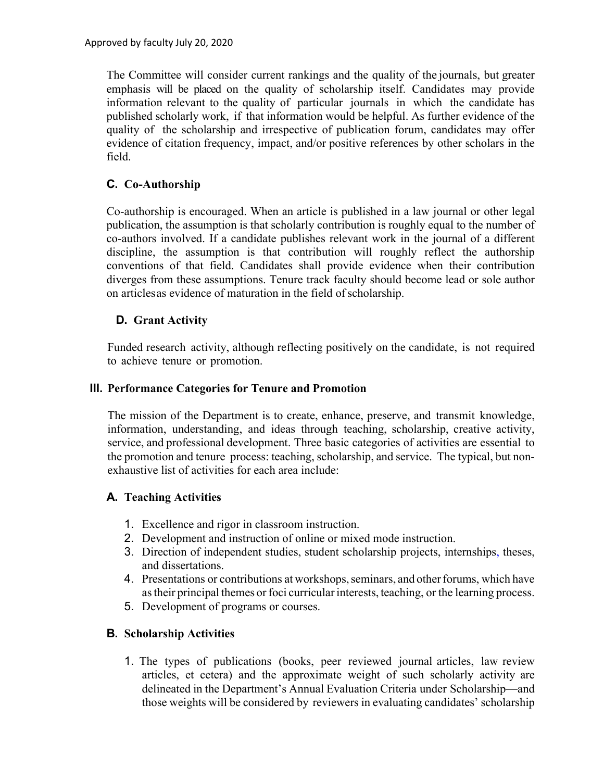The Committee will consider current rankings and the quality of the journals, but greater emphasis will be placed on the quality of scholarship itself. Candidates may provide information relevant to the quality of particular journals in which the candidate has published scholarly work, if that information would be helpful. As further evidence of the quality of the scholarship and irrespective of publication forum, candidates may offer evidence of citation frequency, impact, and/or positive references by other scholars in the field.

# **C. Co-Authorship**

Co-authorship is encouraged. When an article is published in a law journal or other legal publication, the assumption is that scholarly contribution is roughly equal to the number of co-authors involved. If a candidate publishes relevant work in the journal of a different discipline, the assumption is that contribution will roughly reflect the authorship conventions of that field. Candidates shall provide evidence when their contribution diverges from these assumptions. Tenure track faculty should become lead or sole author on articles as evidence of maturation in the field of scholarship.

# **D. Grant Activity**

Funded research activity, although reflecting positively on the candidate, is not required to achieve tenure or promotion.

#### **III. Performance Categories for Tenure and Promotion**

The mission of the Department is to create, enhance, preserve, and transmit knowledge, information, understanding, and ideas through teaching, scholarship, creative activity, service, and professional development. Three basic categories of activities are essential to the promotion and tenure process: teaching, scholarship, and service. The typical, but nonexhaustive list of activities for each area include:

## **A. Teaching Activities**

- 1. Excellence and rigor in classroom instruction.
- 2. Development and instruction of online or mixed mode instruction.
- 3. Direction of independent studies, student scholarship projects, internships, theses, and dissertations.
- 4. Presentations or contributions at workshops, seminars, and other forums, which have as their principal themes or foci curricular interests, teaching, or the learning process.
- 5. Development of programs or courses.

## **B. Scholarship Activities**

1. The types of publications (books, peer reviewed journal articles, law review articles, et cetera) and the approximate weight of such scholarly activity are delineated in the Department's Annual Evaluation Criteria under Scholarship—and those weights will be considered by reviewers in evaluating candidates' scholarship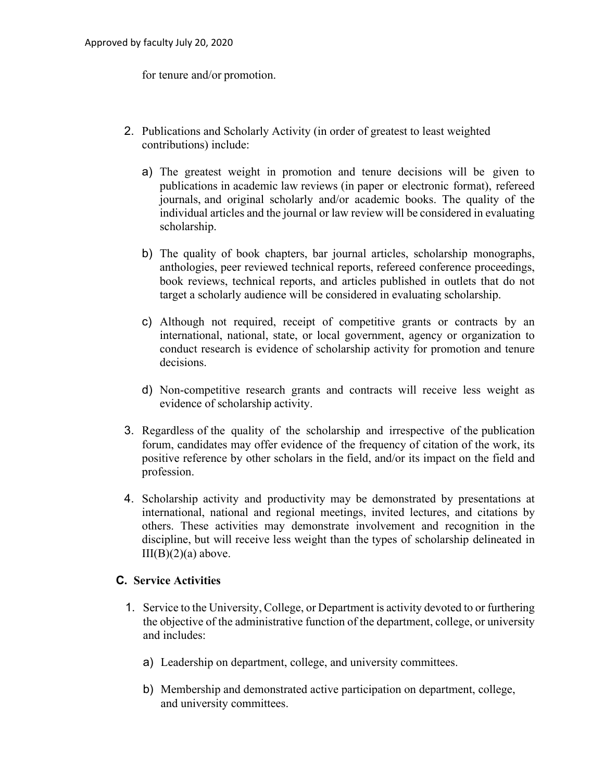for tenure and/or promotion.

- 2. Publications and Scholarly Activity (in order of greatest to least weighted contributions) include:
	- a) The greatest weight in promotion and tenure decisions will be given to publications in academic law reviews (in paper or electronic format), refereed journals, and original scholarly and/or academic books. The quality of the individual articles and the journal or law review will be considered in evaluating scholarship.
	- b) The quality of book chapters, bar journal articles, scholarship monographs, anthologies, peer reviewed technical reports, refereed conference proceedings, book reviews, technical reports, and articles published in outlets that do not target a scholarly audience will be considered in evaluating scholarship.
	- c) Although not required, receipt of competitive grants or contracts by an international, national, state, or local government, agency or organization to conduct research is evidence of scholarship activity for promotion and tenure decisions.
	- d) Non-competitive research grants and contracts will receive less weight as evidence of scholarship activity.
- 3. Regardless of the quality of the scholarship and irrespective of the publication forum, candidates may offer evidence of the frequency of citation of the work, its positive reference by other scholars in the field, and/or its impact on the field and profession.
- 4. Scholarship activity and productivity may be demonstrated by presentations at international, national and regional meetings, invited lectures, and citations by others. These activities may demonstrate involvement and recognition in the discipline, but will receive less weight than the types of scholarship delineated in  $III(B)(2)(a)$  above.

## **C. Service Activities**

- 1. Service to the University, College, or Department is activity devoted to or furthering the objective of the administrative function of the department, college, or university and includes:
	- a) Leadership on department, college, and university committees.
	- b) Membership and demonstrated active participation on department, college, and university committees.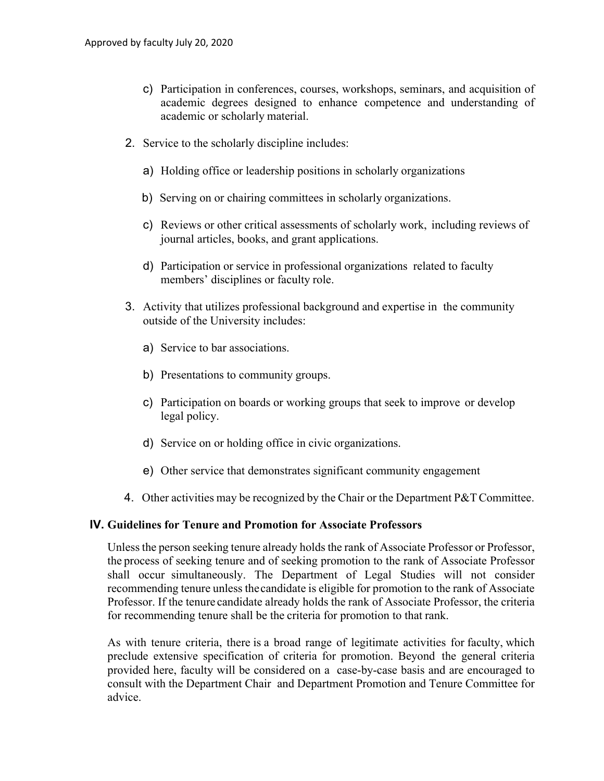- c) Participation in conferences, courses, workshops, seminars, and acquisition of academic degrees designed to enhance competence and understanding of academic or scholarly material.
- 2. Service to the scholarly discipline includes:
	- a) Holding office or leadership positions in scholarly organizations
	- b) Serving on or chairing committees in scholarly organizations.
	- c) Reviews or other critical assessments of scholarly work, including reviews of journal articles, books, and grant applications.
	- d) Participation or service in professional organizations related to faculty members' disciplines or faculty role.
- 3. Activity that utilizes professional background and expertise in the community outside of the University includes:
	- a) Service to bar associations.
	- b) Presentations to community groups.
	- c) Participation on boards or working groups that seek to improve or develop legal policy.
	- d) Service on or holding office in civic organizations.
	- e) Other service that demonstrates significant community engagement
- 4. Other activities may be recognized by the Chair or the Department P&T Committee.

#### **IV. Guidelines for Tenure and Promotion for Associate Professors**

Unless the person seeking tenure already holds the rank of Associate Professor or Professor, the process of seeking tenure and of seeking promotion to the rank of Associate Professor shall occur simultaneously. The Department of Legal Studies will not consider recommending tenure unless thecandidate is eligible for promotion to the rank of Associate Professor. If the tenure candidate already holds the rank of Associate Professor, the criteria for recommending tenure shall be the criteria for promotion to that rank.

As with tenure criteria, there is a broad range of legitimate activities for faculty, which preclude extensive specification of criteria for promotion. Beyond the general criteria provided here, faculty will be considered on a case-by-case basis and are encouraged to consult with the Department Chair and Department Promotion and Tenure Committee for advice.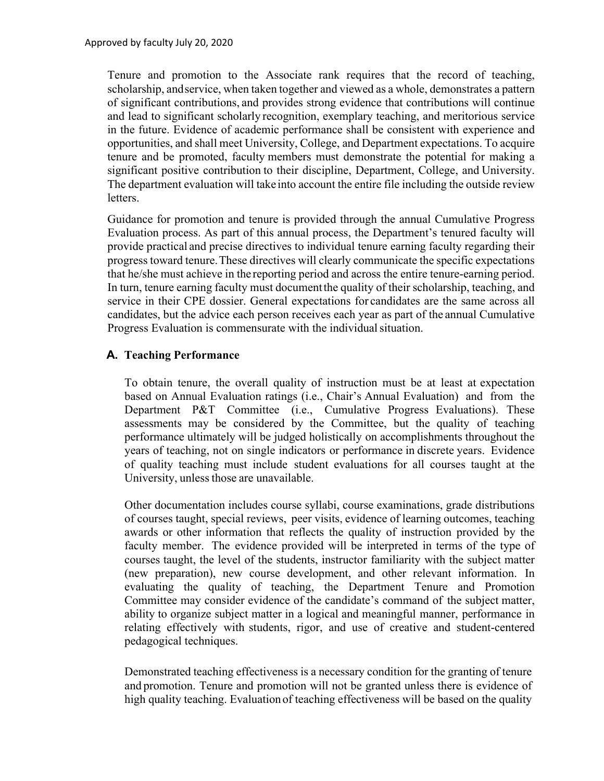Tenure and promotion to the Associate rank requires that the record of teaching, scholarship, andservice, when taken together and viewed as a whole, demonstrates a pattern of significant contributions, and provides strong evidence that contributions will continue and lead to significant scholarly recognition, exemplary teaching, and meritorious service in the future. Evidence of academic performance shall be consistent with experience and opportunities, and shall meet University, College, and Department expectations. To acquire tenure and be promoted, faculty members must demonstrate the potential for making a significant positive contribution to their discipline, Department, College, and University. The department evaluation will take into account the entire file including the outside review letters.

Guidance for promotion and tenure is provided through the annual Cumulative Progress Evaluation process. As part of this annual process, the Department's tenured faculty will provide practical and precise directives to individual tenure earning faculty regarding their progress toward tenure.These directives will clearly communicate the specific expectations that he/she must achieve in the reporting period and across the entire tenure-earning period. In turn, tenure earning faculty must documentthe quality of their scholarship, teaching, and service in their CPE dossier. General expectations for candidates are the same across all candidates, but the advice each person receives each year as part of the annual Cumulative Progress Evaluation is commensurate with the individual situation.

## **A. Teaching Performance**

To obtain tenure, the overall quality of instruction must be at least at expectation based on Annual Evaluation ratings (i.e., Chair's Annual Evaluation) and from the Department P&T Committee (i.e., Cumulative Progress Evaluations). These assessments may be considered by the Committee, but the quality of teaching performance ultimately will be judged holistically on accomplishments throughout the years of teaching, not on single indicators or performance in discrete years. Evidence of quality teaching must include student evaluations for all courses taught at the University, unless those are unavailable.

Other documentation includes course syllabi, course examinations, grade distributions of courses taught, special reviews, peer visits, evidence of learning outcomes, teaching awards or other information that reflects the quality of instruction provided by the faculty member. The evidence provided will be interpreted in terms of the type of courses taught, the level of the students, instructor familiarity with the subject matter (new preparation), new course development, and other relevant information. In evaluating the quality of teaching, the Department Tenure and Promotion Committee may consider evidence of the candidate's command of the subject matter, ability to organize subject matter in a logical and meaningful manner, performance in relating effectively with students, rigor, and use of creative and student-centered pedagogical techniques.

Demonstrated teaching effectiveness is a necessary condition for the granting of tenure and promotion. Tenure and promotion will not be granted unless there is evidence of high quality teaching. Evaluationof teaching effectiveness will be based on the quality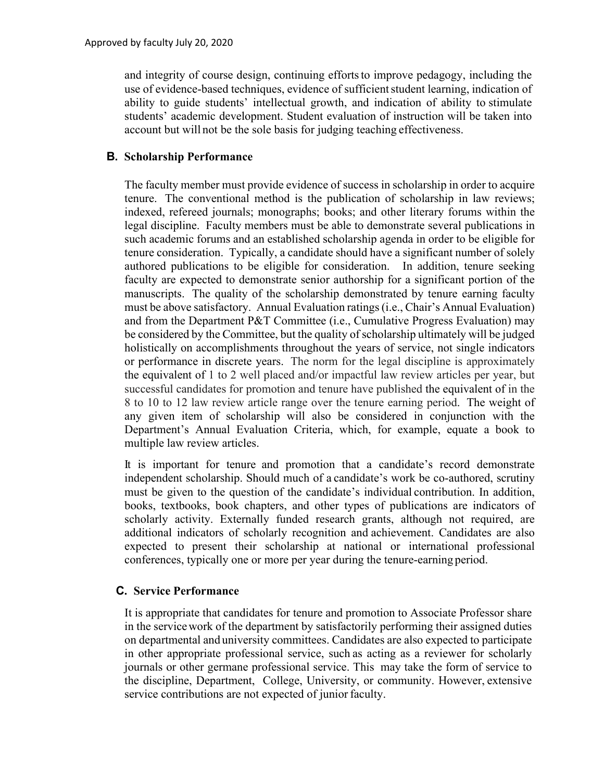and integrity of course design, continuing effortsto improve pedagogy, including the use of evidence-based techniques, evidence of sufficient student learning, indication of ability to guide students' intellectual growth, and indication of ability to stimulate students' academic development. Student evaluation of instruction will be taken into account but will not be the sole basis for judging teaching effectiveness.

#### **B. Scholarship Performance**

The faculty member must provide evidence of success in scholarship in order to acquire tenure. The conventional method is the publication of scholarship in law reviews; indexed, refereed journals; monographs; books; and other literary forums within the legal discipline. Faculty members must be able to demonstrate several publications in such academic forums and an established scholarship agenda in order to be eligible for tenure consideration. Typically, a candidate should have a significant number of solely authored publications to be eligible for consideration. In addition, tenure seeking faculty are expected to demonstrate senior authorship for a significant portion of the manuscripts. The quality of the scholarship demonstrated by tenure earning faculty must be above satisfactory. Annual Evaluation ratings(i.e., Chair's Annual Evaluation) and from the Department P&T Committee (i.e., Cumulative Progress Evaluation) may be considered by the Committee, but the quality of scholarship ultimately will be judged holistically on accomplishments throughout the years of service, not single indicators or performance in discrete years. The norm for the legal discipline is approximately the equivalent of 1 to 2 well placed and/or impactful law review articles per year, but successful candidates for promotion and tenure have published the equivalent of in the 8 to 10 to 12 law review article range over the tenure earning period. The weight of any given item of scholarship will also be considered in conjunction with the Department's Annual Evaluation Criteria, which, for example, equate a book to multiple law review articles.

It is important for tenure and promotion that a candidate's record demonstrate independent scholarship. Should much of a candidate's work be co-authored, scrutiny must be given to the question of the candidate's individual contribution. In addition, books, textbooks, book chapters, and other types of publications are indicators of scholarly activity. Externally funded research grants, although not required, are additional indicators of scholarly recognition and achievement. Candidates are also expected to present their scholarship at national or international professional conferences, typically one or more per year during the tenure-earning period.

## **C. Service Performance**

It is appropriate that candidates for tenure and promotion to Associate Professor share in the servicework of the department by satisfactorily performing their assigned duties on departmental and university committees. Candidates are also expected to participate in other appropriate professional service, such as acting as a reviewer for scholarly journals or other germane professional service. This may take the form of service to the discipline, Department, College, University, or community. However, extensive service contributions are not expected of junior faculty.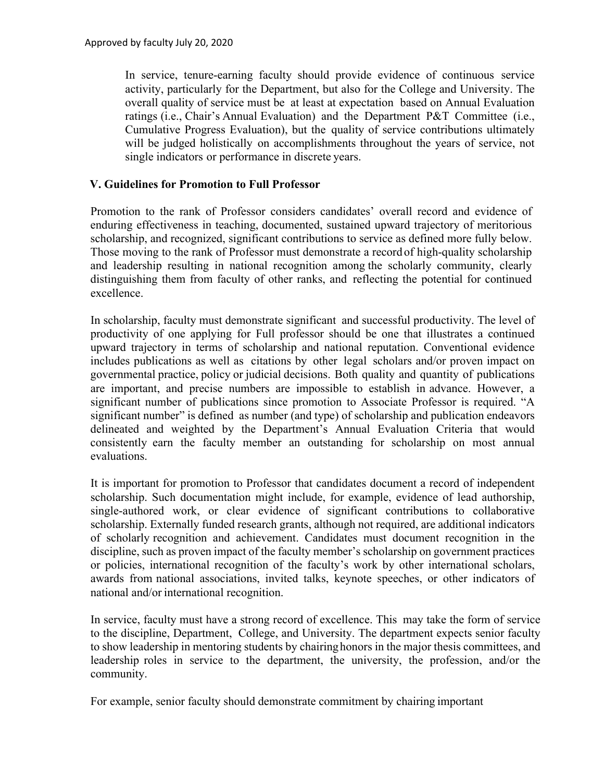In service, tenure-earning faculty should provide evidence of continuous service activity, particularly for the Department, but also for the College and University. The overall quality of service must be at least at expectation based on Annual Evaluation ratings (i.e., Chair's Annual Evaluation) and the Department P&T Committee (i.e., Cumulative Progress Evaluation), but the quality of service contributions ultimately will be judged holistically on accomplishments throughout the years of service, not single indicators or performance in discrete years.

#### **V. Guidelines for Promotion to Full Professor**

Promotion to the rank of Professor considers candidates' overall record and evidence of enduring effectiveness in teaching, documented, sustained upward trajectory of meritorious scholarship, and recognized, significant contributions to service as defined more fully below. Those moving to the rank of Professor must demonstrate a record of high-quality scholarship and leadership resulting in national recognition among the scholarly community, clearly distinguishing them from faculty of other ranks, and reflecting the potential for continued excellence.

In scholarship, faculty must demonstrate significant and successful productivity. The level of productivity of one applying for Full professor should be one that illustrates a continued upward trajectory in terms of scholarship and national reputation. Conventional evidence includes publications as well as citations by other legal scholars and/or proven impact on governmental practice, policy or judicial decisions. Both quality and quantity of publications are important, and precise numbers are impossible to establish in advance. However, a significant number of publications since promotion to Associate Professor is required. "A significant number" is defined as number (and type) of scholarship and publication endeavors delineated and weighted by the Department's Annual Evaluation Criteria that would consistently earn the faculty member an outstanding for scholarship on most annual evaluations.

It is important for promotion to Professor that candidates document a record of independent scholarship. Such documentation might include, for example, evidence of lead authorship, single-authored work, or clear evidence of significant contributions to collaborative scholarship. Externally funded research grants, although not required, are additional indicators of scholarly recognition and achievement. Candidates must document recognition in the discipline, such as proven impact of the faculty member's scholarship on government practices or policies, international recognition of the faculty's work by other international scholars, awards from national associations, invited talks, keynote speeches, or other indicators of national and/or international recognition.

In service, faculty must have a strong record of excellence. This may take the form of service to the discipline, Department, College, and University. The department expects senior faculty to show leadership in mentoring students by chairinghonors in the major thesis committees, and leadership roles in service to the department, the university, the profession, and/or the community.

For example, senior faculty should demonstrate commitment by chairing important